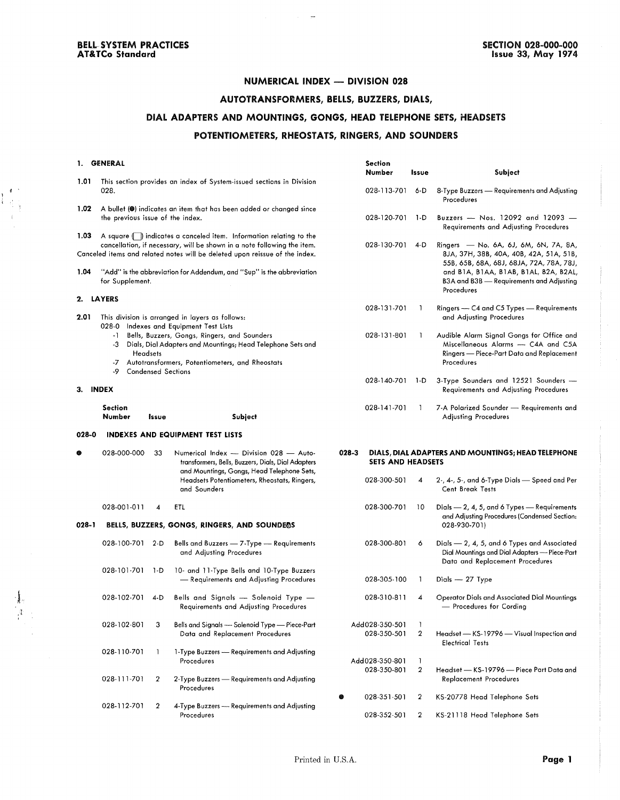$\begin{pmatrix} 0 & 1 \\ 0 & 1 \\ 0 & 1 \end{pmatrix}$  $\bar{\mathrm{t}}$ 

 $\hat{A}$ 

## **NUMERICAL INDEX - DIVISION 028**

سواديان

## **AUTOTRANSFOftMERS, BELLS, BUZZERS, DIALS,**

## **DIAL ADAPTERS AND MOUNTINGS, GONGS, HEAD TELEPHONE SETS, HEADSETS POTENTIOMETERS, RHEOSTATS, RINGERS, AND SOUNDERS**

|          | 1. GENERAL                                                                                                                                                                                                                  |       |                                                                                                                                                                                                                               | <b>Section</b>                        |                       |                                                                                                                                             |
|----------|-----------------------------------------------------------------------------------------------------------------------------------------------------------------------------------------------------------------------------|-------|-------------------------------------------------------------------------------------------------------------------------------------------------------------------------------------------------------------------------------|---------------------------------------|-----------------------|---------------------------------------------------------------------------------------------------------------------------------------------|
| 1.01     |                                                                                                                                                                                                                             |       | This section provides an index of System-issued sections in Division                                                                                                                                                          | Number                                | Issue                 | Subject                                                                                                                                     |
|          | 028.                                                                                                                                                                                                                        |       |                                                                                                                                                                                                                               | 028-113-701                           | 6-D                   | 8-Type Buzzers - Requirements and Adjusting<br>Procedures                                                                                   |
| 1.02     | the previous issue of the index.                                                                                                                                                                                            |       | A bullet (@) indicates an item that has been added or changed since                                                                                                                                                           | 028-120-701                           | 1-D                   | Buzzers - Nos. 12092 and 12093 -                                                                                                            |
|          |                                                                                                                                                                                                                             |       |                                                                                                                                                                                                                               |                                       |                       | Requirements and Adjusting Procedures                                                                                                       |
| 1.03     |                                                                                                                                                                                                                             |       | A square ( ) indicates a canceled item. Information relating to the<br>cancellation, if necessary, will be shown in a note following the item.<br>Canceled items and related notes will be deleted upon reissue of the index. | 028-130-701                           | 4-D                   | Ringers — No. 6A, 6J, 6M, 6N, 7A, 8A,<br>8JA, 37H, 38B, 40A, 40B, 42A, 51A, 51B,                                                            |
| 1.04     | for Supplement.                                                                                                                                                                                                             |       | "Add" is the abbreviation for Addendum, and "Sup" is the abbreviation                                                                                                                                                         |                                       |                       | 55B, 65B, 68A, 68J, 68JA, 72A, 78A, 78J,<br>and B1A, B1AA, B1AB, B1AL, B2A, B2AL,<br>B3A and B3B — Requirements and Adjusting<br>Procedures |
|          | 2. LAYERS                                                                                                                                                                                                                   |       |                                                                                                                                                                                                                               |                                       |                       |                                                                                                                                             |
| 2.01     |                                                                                                                                                                                                                             |       | This division is arranged in layers as follows:<br>028-0 Indexes and Equipment Test Lists                                                                                                                                     | 028-131-701                           | L                     | Ringers — C4 and C5 Types — Requirements<br>and Adjusting Procedures                                                                        |
|          | Bells, Buzzers, Gongs, Ringers, and Sounders<br>-1.<br>-3 Dials, Dial Adapters and Mountings; Head Telephone Sets and<br><b>Headsets</b><br>-7 Autotransformers, Potentiometers, and Rheostats<br><b>Condensed Sections</b> |       |                                                                                                                                                                                                                               | 028-131-801                           | ı                     | Audible Alarm Signal Gongs for Office and<br>Miscellaneous Alarms - C4A and C5A<br>Ringers - Piece-Part Data and Replacement<br>Procedures  |
| 3. INDEX | -9                                                                                                                                                                                                                          |       |                                                                                                                                                                                                                               | 028-140-701                           | 1-D                   | 3-Type Sounders and 12521 Sounders -<br>Requirements and Adjusting Procedures                                                               |
|          | Section<br>Number                                                                                                                                                                                                           | Issue | Subject                                                                                                                                                                                                                       | 028-141-701                           | T                     | 7-A Polarized Sounder - Requirements and<br><b>Adjusting Procedures</b>                                                                     |
| 028-0    |                                                                                                                                                                                                                             |       | <b>INDEXES AND EQUIPMENT TEST LISTS</b>                                                                                                                                                                                       |                                       |                       |                                                                                                                                             |
|          |                                                                                                                                                                                                                             |       | Numerical Index - Division 028 - Auto-<br>transformers, Bells, Buzzers, Dials, Dial Adapters                                                                                                                                  |                                       |                       |                                                                                                                                             |
|          | 028-000-000                                                                                                                                                                                                                 | 33    |                                                                                                                                                                                                                               | $028 - 3$<br><b>SETS AND HEADSETS</b> |                       | DIALS, DIAL ADAPTERS AND MOUNTINGS; HEAD TELEPHONE                                                                                          |
|          |                                                                                                                                                                                                                             |       | and Mountings, Gongs, Head Telephone Sets,<br>Headsets Potentiometers, Rheostats, Ringers,<br>and Sounders                                                                                                                    | 028-300-501                           | 4                     | 2-, 4-, 5-, and 6-Type Dials - Speed and Per<br><b>Cent Break Tests</b>                                                                     |
|          | 028-001-011                                                                                                                                                                                                                 | 4     | ETL                                                                                                                                                                                                                           | 028-300-701                           | -10                   | Dials $-2$ , 4, 5, and 6 Types $-$ Requirements                                                                                             |
| 028-1    |                                                                                                                                                                                                                             |       | BELLS, BUZZERS, GONGS, RINGERS, AND SOUNDEOS                                                                                                                                                                                  |                                       |                       | and Adjusting Procedures (Condensed Section:<br>028-930-701)                                                                                |
|          | 028-100-701 2-D                                                                                                                                                                                                             |       | Bells and Buzzers - 7-Type - Requirements<br>and Adjusting Procedures                                                                                                                                                         | 028-300-801                           | 6                     | Dials - 2, 4, 5, and 6 Types and Associated<br>Dial Mountings and Dial Adapters - Piece-Part<br>Data and Replacement Procedures             |
|          | 028-101-701 1-D                                                                                                                                                                                                             |       | 10- and 11-Type Bells and 10-Type Buzzers<br>- Requirements and Adjusting Procedures                                                                                                                                          | 028-305-100                           | 1                     | Dials - 27 Type                                                                                                                             |
|          | 028-102-701 4-D                                                                                                                                                                                                             |       | Bells and Signals — Solenoid Type —<br>Requirements and Adjusting Procedures                                                                                                                                                  | 028-310-811                           | 4                     | Operator Dials and Associated Dial Mountings<br>– Procedures for Cording                                                                    |
|          | 028-102-801                                                                                                                                                                                                                 | 3     | Bells and Signals — Solenoid Type — Piece-Part<br>Data and Replacement Procedures                                                                                                                                             | Add028-350-501<br>028-350-501         | 1<br>$\boldsymbol{2}$ | Headset - KS-19796 - Visual Inspection and                                                                                                  |
|          | 028-110-701                                                                                                                                                                                                                 | 1     | 1-Type Buzzers - Requirements and Adjusting<br>Procedures                                                                                                                                                                     | Add028-350-801                        | $\mathbf{1}$          | <b>Electrical Tests</b>                                                                                                                     |
|          | 028-111-701                                                                                                                                                                                                                 | 2     | 2-Type Buzzers - Requirements and Adjusting<br>Procedures                                                                                                                                                                     | 028-350-801                           | $\boldsymbol{2}$      | Headset - KS-19796 - Piece Part Data and<br><b>Replacement Procedures</b>                                                                   |
|          | 028-112-701                                                                                                                                                                                                                 | 2     | 4-Type Buzzers — Requirements and Adjusting                                                                                                                                                                                   | 028-351-501                           | 2                     | KS-20778 Head Telephone Sets                                                                                                                |